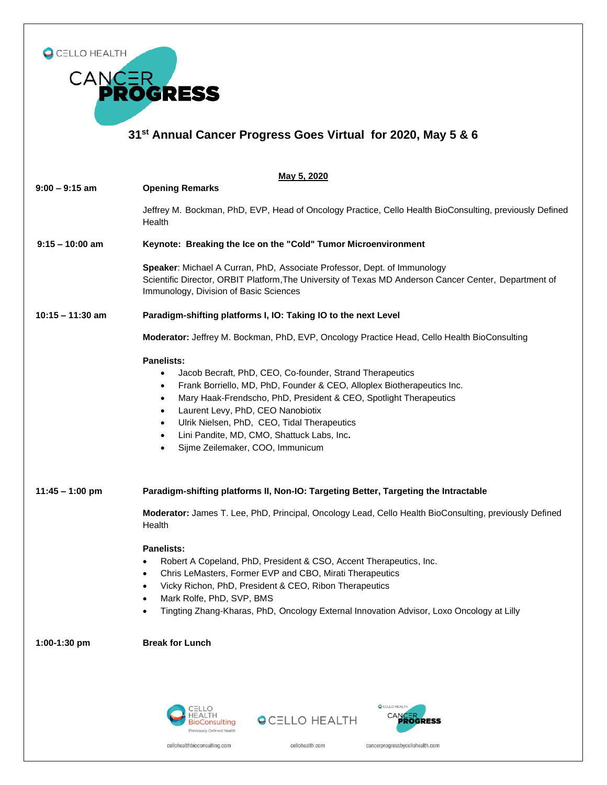$\bigcirc$  CELLO HEALTH CANCER<br>**PROGRESS** 

## **31st Annual Cancer Progress Goes Virtual for 2020, May 5 & 6**

|                    | May 5, 2020                                                                                                                                                                                                                                                                                                                                                                                                                                                                   |
|--------------------|-------------------------------------------------------------------------------------------------------------------------------------------------------------------------------------------------------------------------------------------------------------------------------------------------------------------------------------------------------------------------------------------------------------------------------------------------------------------------------|
| $9:00 - 9:15$ am   | <b>Opening Remarks</b>                                                                                                                                                                                                                                                                                                                                                                                                                                                        |
|                    | Jeffrey M. Bockman, PhD, EVP, Head of Oncology Practice, Cello Health BioConsulting, previously Defined<br>Health                                                                                                                                                                                                                                                                                                                                                             |
| $9:15 - 10:00$ am  | Keynote: Breaking the Ice on the "Cold" Tumor Microenvironment                                                                                                                                                                                                                                                                                                                                                                                                                |
|                    | Speaker: Michael A Curran, PhD, Associate Professor, Dept. of Immunology<br>Scientific Director, ORBIT Platform, The University of Texas MD Anderson Cancer Center, Department of<br>Immunology, Division of Basic Sciences                                                                                                                                                                                                                                                   |
| $10:15 - 11:30$ am | Paradigm-shifting platforms I, IO: Taking IO to the next Level                                                                                                                                                                                                                                                                                                                                                                                                                |
|                    | Moderator: Jeffrey M. Bockman, PhD, EVP, Oncology Practice Head, Cello Health BioConsulting                                                                                                                                                                                                                                                                                                                                                                                   |
|                    | <b>Panelists:</b><br>Jacob Becraft, PhD, CEO, Co-founder, Strand Therapeutics<br>$\bullet$<br>Frank Borriello, MD, PhD, Founder & CEO, Alloplex Biotherapeutics Inc.<br>$\bullet$<br>Mary Haak-Frendscho, PhD, President & CEO, Spotlight Therapeutics<br>$\bullet$<br>Laurent Levy, PhD, CEO Nanobiotix<br>٠<br>Ulrik Nielsen, PhD, CEO, Tidal Therapeutics<br>٠<br>Lini Pandite, MD, CMO, Shattuck Labs, Inc.<br>$\bullet$<br>Sijme Zeilemaker, COO, Immunicum<br>$\bullet$ |
| $11:45 - 1:00$ pm  | Paradigm-shifting platforms II, Non-IO: Targeting Better, Targeting the Intractable                                                                                                                                                                                                                                                                                                                                                                                           |
|                    | Moderator: James T. Lee, PhD, Principal, Oncology Lead, Cello Health BioConsulting, previously Defined<br>Health                                                                                                                                                                                                                                                                                                                                                              |
|                    | <b>Panelists:</b><br>Robert A Copeland, PhD, President & CSO, Accent Therapeutics, Inc.<br>٠<br>Chris LeMasters, Former EVP and CBO, Mirati Therapeutics<br>$\bullet$<br>Vicky Richon, PhD, President & CEO, Ribon Therapeutics<br>$\bullet$<br>Mark Rolfe, PhD, SVP, BMS<br>Tingting Zhang-Kharas, PhD, Oncology External Innovation Advisor, Loxo Oncology at Lilly                                                                                                         |
| 1:00-1:30 pm       | <b>Break for Lunch</b>                                                                                                                                                                                                                                                                                                                                                                                                                                                        |
|                    | <b>Q</b> CELLO HEALTH<br>CELLO<br>IEALTH<br>CAN<br><b>OCELLO HEALTH</b><br>PROGRESS<br>BioConsulting<br>Previously Defined Health                                                                                                                                                                                                                                                                                                                                             |
|                    | cellohealthbioconsulting.com<br>cellohealth.com<br>cancerprogressbycellohealth.com                                                                                                                                                                                                                                                                                                                                                                                            |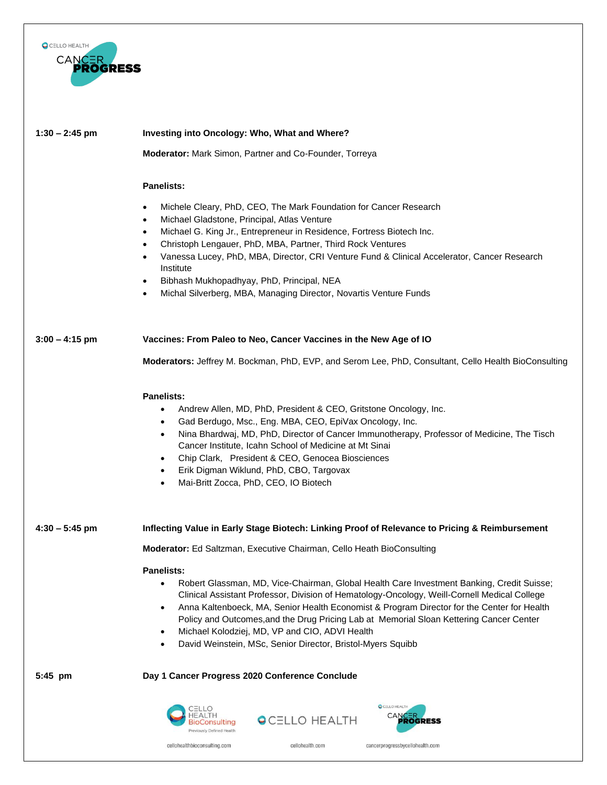

| $1:30 - 2:45$ pm | Investing into Oncology: Who, What and Where?                                                                                                                                                                                                                                                                                                                                                                                                                                                                                                                                    |
|------------------|----------------------------------------------------------------------------------------------------------------------------------------------------------------------------------------------------------------------------------------------------------------------------------------------------------------------------------------------------------------------------------------------------------------------------------------------------------------------------------------------------------------------------------------------------------------------------------|
|                  | Moderator: Mark Simon, Partner and Co-Founder, Torreya                                                                                                                                                                                                                                                                                                                                                                                                                                                                                                                           |
|                  | <b>Panelists:</b>                                                                                                                                                                                                                                                                                                                                                                                                                                                                                                                                                                |
|                  | Michele Cleary, PhD, CEO, The Mark Foundation for Cancer Research<br>$\bullet$<br>Michael Gladstone, Principal, Atlas Venture<br>$\bullet$<br>Michael G. King Jr., Entrepreneur in Residence, Fortress Biotech Inc.<br>$\bullet$<br>Christoph Lengauer, PhD, MBA, Partner, Third Rock Ventures<br>$\bullet$<br>Vanessa Lucey, PhD, MBA, Director, CRI Venture Fund & Clinical Accelerator, Cancer Research<br>$\bullet$<br>Institute<br>Bibhash Mukhopadhyay, PhD, Principal, NEA<br>$\bullet$<br>Michal Silverberg, MBA, Managing Director, Novartis Venture Funds<br>$\bullet$ |
| $3:00 - 4:15$ pm | Vaccines: From Paleo to Neo, Cancer Vaccines in the New Age of IO                                                                                                                                                                                                                                                                                                                                                                                                                                                                                                                |
|                  | Moderators: Jeffrey M. Bockman, PhD, EVP, and Serom Lee, PhD, Consultant, Cello Health BioConsulting                                                                                                                                                                                                                                                                                                                                                                                                                                                                             |
|                  | <b>Panelists:</b><br>Andrew Allen, MD, PhD, President & CEO, Gritstone Oncology, Inc.<br>$\bullet$<br>Gad Berdugo, Msc., Eng. MBA, CEO, EpiVax Oncology, Inc.<br>$\bullet$<br>Nina Bhardwaj, MD, PhD, Director of Cancer Immunotherapy, Professor of Medicine, The Tisch<br>$\bullet$<br>Cancer Institute, Icahn School of Medicine at Mt Sinai<br>Chip Clark, President & CEO, Genocea Biosciences<br>$\bullet$<br>Erik Digman Wiklund, PhD, CBO, Targovax<br>$\bullet$<br>Mai-Britt Zocca, PhD, CEO, IO Biotech<br>$\bullet$                                                   |
| $4:30 - 5:45$ pm | Inflecting Value in Early Stage Biotech: Linking Proof of Relevance to Pricing & Reimbursement                                                                                                                                                                                                                                                                                                                                                                                                                                                                                   |
|                  | Moderator: Ed Saltzman, Executive Chairman, Cello Heath BioConsulting                                                                                                                                                                                                                                                                                                                                                                                                                                                                                                            |
|                  | <b>Panelists:</b><br>Robert Glassman, MD, Vice-Chairman, Global Health Care Investment Banking, Credit Suisse;<br>٠<br>Clinical Assistant Professor, Division of Hematology-Oncology, Weill-Cornell Medical College<br>Anna Kaltenboeck, MA, Senior Health Economist & Program Director for the Center for Health<br>$\bullet$<br>Policy and Outcomes, and the Drug Pricing Lab at Memorial Sloan Kettering Cancer Center<br>Michael Kolodziej, MD, VP and CIO, ADVI Health<br>$\bullet$<br>David Weinstein, MSc, Senior Director, Bristol-Myers Squibb<br>٠                     |
| $5:45$ pm        | Day 1 Cancer Progress 2020 Conference Conclude                                                                                                                                                                                                                                                                                                                                                                                                                                                                                                                                   |
|                  | <b>Q</b> CELLO HEALTH<br><b>OCELLO HEALTH</b><br><b>ROGRESS</b><br>3ioConsulting<br>Previously Defined Health                                                                                                                                                                                                                                                                                                                                                                                                                                                                    |
|                  | cellohealthbioconsulting.com<br>cellohealth.com<br>cancerprogressbycellohealth.com                                                                                                                                                                                                                                                                                                                                                                                                                                                                                               |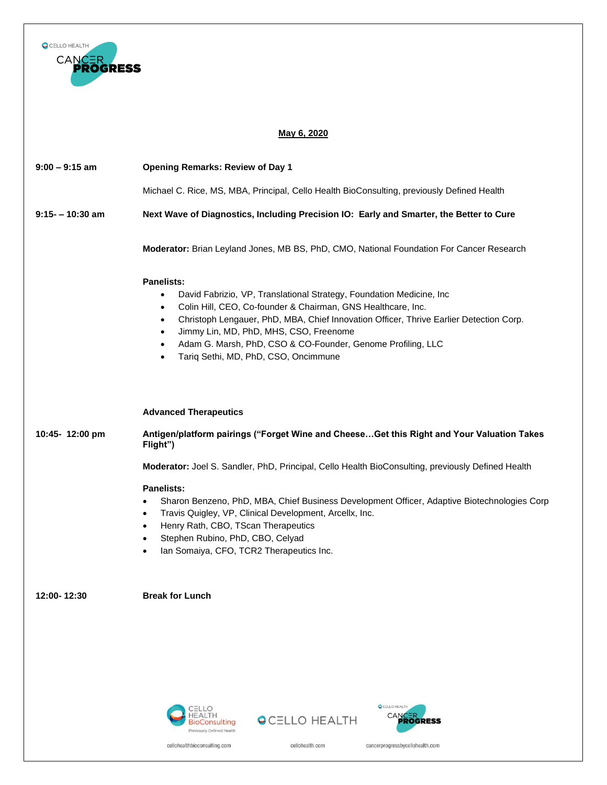

## **May 6, 2020**

| $9:00 - 9:15$ am  | <b>Opening Remarks: Review of Day 1</b>                                                                                                                                                                                                                                                                                                                                                                                                                       |
|-------------------|---------------------------------------------------------------------------------------------------------------------------------------------------------------------------------------------------------------------------------------------------------------------------------------------------------------------------------------------------------------------------------------------------------------------------------------------------------------|
|                   | Michael C. Rice, MS, MBA, Principal, Cello Health BioConsulting, previously Defined Health                                                                                                                                                                                                                                                                                                                                                                    |
| $9:15 - 10:30$ am | Next Wave of Diagnostics, Including Precision IO: Early and Smarter, the Better to Cure                                                                                                                                                                                                                                                                                                                                                                       |
|                   | <b>Moderator:</b> Brian Leyland Jones, MB BS, PhD, CMO, National Foundation For Cancer Research                                                                                                                                                                                                                                                                                                                                                               |
|                   | <b>Panelists:</b><br>David Fabrizio, VP, Translational Strategy, Foundation Medicine, Inc<br>Colin Hill, CEO, Co-founder & Chairman, GNS Healthcare, Inc.<br>$\bullet$<br>Christoph Lengauer, PhD, MBA, Chief Innovation Officer, Thrive Earlier Detection Corp.<br>٠<br>Jimmy Lin, MD, PhD, MHS, CSO, Freenome<br>$\bullet$<br>Adam G. Marsh, PhD, CSO & CO-Founder, Genome Profiling, LLC<br>$\bullet$<br>Tariq Sethi, MD, PhD, CSO, Oncimmune<br>$\bullet$ |
|                   | <b>Advanced Therapeutics</b>                                                                                                                                                                                                                                                                                                                                                                                                                                  |
| 10:45- 12:00 pm   | Antigen/platform pairings ("Forget Wine and CheeseGet this Right and Your Valuation Takes<br>Flight")                                                                                                                                                                                                                                                                                                                                                         |
|                   | Moderator: Joel S. Sandler, PhD, Principal, Cello Health BioConsulting, previously Defined Health                                                                                                                                                                                                                                                                                                                                                             |
|                   | <b>Panelists:</b><br>Sharon Benzeno, PhD, MBA, Chief Business Development Officer, Adaptive Biotechnologies Corp<br>$\bullet$<br>Travis Quigley, VP, Clinical Development, Arcellx, Inc.<br>$\bullet$<br>Henry Rath, CBO, TScan Therapeutics<br>$\bullet$<br>Stephen Rubino, PhD, CBO, Celyad<br>$\bullet$<br>Ian Somaiya, CFO, TCR2 Therapeutics Inc.<br>$\bullet$                                                                                           |
| 12:00-12:30       | <b>Break for Lunch</b>                                                                                                                                                                                                                                                                                                                                                                                                                                        |
|                   | <b>Q</b> CELLO HEALTH<br>CELLO<br><b>HEALTH</b><br>CANCERESS<br><b>OCELLO HEALTH</b><br><b>BioConsulting</b>                                                                                                                                                                                                                                                                                                                                                  |

cellohealthbioconsulting.com

Previously Defined Health

cancerprogressbycellohealth.com

cellohealth.com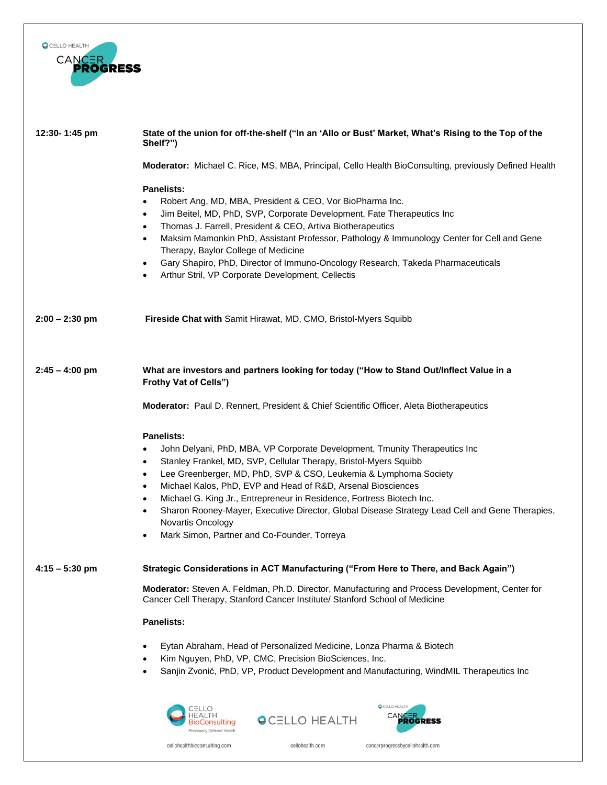

| 12:30-1:45 pm    | State of the union for off-the-shelf ("In an 'Allo or Bust' Market, What's Rising to the Top of the<br>Shelf?")                                                                                                                                                                                                                                                                                                                                                                                                                                                                                                                            |
|------------------|--------------------------------------------------------------------------------------------------------------------------------------------------------------------------------------------------------------------------------------------------------------------------------------------------------------------------------------------------------------------------------------------------------------------------------------------------------------------------------------------------------------------------------------------------------------------------------------------------------------------------------------------|
|                  | Moderator: Michael C. Rice, MS, MBA, Principal, Cello Health BioConsulting, previously Defined Health                                                                                                                                                                                                                                                                                                                                                                                                                                                                                                                                      |
|                  | <b>Panelists:</b><br>Robert Ang, MD, MBA, President & CEO, Vor BioPharma Inc.<br>$\bullet$<br>Jim Beitel, MD, PhD, SVP, Corporate Development, Fate Therapeutics Inc<br>$\bullet$<br>Thomas J. Farrell, President & CEO, Artiva Biotherapeutics<br>$\bullet$<br>Maksim Mamonkin PhD, Assistant Professor, Pathology & Immunology Center for Cell and Gene<br>$\bullet$<br>Therapy, Baylor College of Medicine<br>Gary Shapiro, PhD, Director of Immuno-Oncology Research, Takeda Pharmaceuticals<br>$\bullet$<br>Arthur Stril, VP Corporate Development, Cellectis<br>$\bullet$                                                            |
| $2:00 - 2:30$ pm | Fireside Chat with Samit Hirawat, MD, CMO, Bristol-Myers Squibb                                                                                                                                                                                                                                                                                                                                                                                                                                                                                                                                                                            |
| $2:45 - 4:00$ pm | What are investors and partners looking for today ("How to Stand Out/Inflect Value in a<br>Frothy Vat of Cells")                                                                                                                                                                                                                                                                                                                                                                                                                                                                                                                           |
|                  | Moderator: Paul D. Rennert, President & Chief Scientific Officer, Aleta Biotherapeutics                                                                                                                                                                                                                                                                                                                                                                                                                                                                                                                                                    |
|                  | Panelists:<br>John Delyani, PhD, MBA, VP Corporate Development, Tmunity Therapeutics Inc<br>$\bullet$<br>Stanley Frankel, MD, SVP, Cellular Therapy, Bristol-Myers Squibb<br>$\bullet$<br>Lee Greenberger, MD, PhD, SVP & CSO, Leukemia & Lymphoma Society<br>$\bullet$<br>Michael Kalos, PhD, EVP and Head of R&D, Arsenal Biosciences<br>$\bullet$<br>Michael G. King Jr., Entrepreneur in Residence, Fortress Biotech Inc.<br>$\bullet$<br>Sharon Rooney-Mayer, Executive Director, Global Disease Strategy Lead Cell and Gene Therapies,<br>$\bullet$<br>Novartis Oncology<br>Mark Simon, Partner and Co-Founder, Torreya<br>$\bullet$ |
| $4:15 - 5:30$ pm | Strategic Considerations in ACT Manufacturing ("From Here to There, and Back Again")                                                                                                                                                                                                                                                                                                                                                                                                                                                                                                                                                       |
|                  | Moderator: Steven A. Feldman, Ph.D. Director, Manufacturing and Process Development, Center for<br>Cancer Cell Therapy, Stanford Cancer Institute/ Stanford School of Medicine                                                                                                                                                                                                                                                                                                                                                                                                                                                             |
|                  | Panelists:                                                                                                                                                                                                                                                                                                                                                                                                                                                                                                                                                                                                                                 |
|                  | Eytan Abraham, Head of Personalized Medicine, Lonza Pharma & Biotech<br>Kim Nguyen, PhD, VP, CMC, Precision BioSciences, Inc.<br>Sanjin Zvonić, PhD, VP, Product Development and Manufacturing, WindMIL Therapeutics Inc                                                                                                                                                                                                                                                                                                                                                                                                                   |
|                  | <b>O</b> CELLO HEALTH<br>CAN<br><b>OCELLO HEALTH</b><br>PROGRESS<br>3ioConsulting<br>Previously Defined Health<br>cellohealthbioconsulting.com<br>cellohealth.com<br>cancerprogressbycellohealth.com                                                                                                                                                                                                                                                                                                                                                                                                                                       |